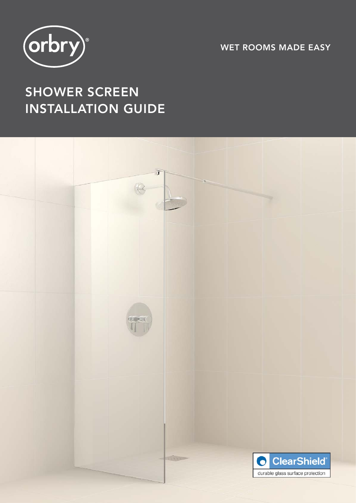

WET ROOMS MADE EASY

# SHOWER SCREEN INSTALLATION GUIDE

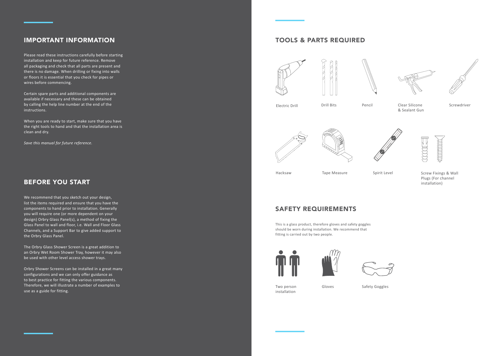Please read these instructions carefully before starting installation and keep for future reference. Remove all packaging and check that all parts are present and there is no damage. When drilling or fixing into walls or floors it is essential that you check for pipes or wires before commencing.

Certain spare parts and additional components are available if necessary and these can be obtained by calling the help line number at the end of the instructions.

When you are ready to start, make sure that you have the right tools to hand and that the installation area is clean and dry.

*Save this manual for future reference.* 

## IMPORTANT INFORMATION



Electric Drill **Solution Clear Clear Silicone** Screwdriver & Sealant Gun





Hacksaw Tape Measure Spirit Level Screw Fixings & Wall Plugs (For channel installation)

We recommend that you sketch out your design, list the items required and ensure that you have the components to hand prior to installation. Generally you will require one (or more dependent on your design) Orbry Glass Panel(s), a method of fixing the Glass Panel to wall and floor, i.e. Wall and Floor Glass Channels, and a Support Bar to give added support to the Orbry Glass Panel.

The Orbry Glass Shower Screen is a great addition to an Orbry Wet Room Shower Tray, however it may also be used with other level access shower trays.

Orbry Shower Screens can be installed in a great many configurations and we can only offer guidance as to best practice for fitting the various components. Therefore, we will illustrate a number of examples to use as a guide for fitting.

## BEFORE YOU START

## TOOLS & PARTS REQUIRED









This is a glass product, therefore gloves and safety goggles should be worn during installation. We recommend that fitting is carried out by two people.







# SAFETY REQUIREMENTS

Two person installation

Gloves Safety Goggles

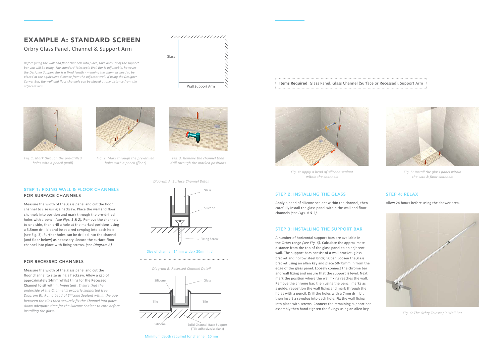#### STEP 1: FIXING WALL & FLOOR CHANNELS FOR SURFACE CHANNELS

Measure the width of the glass panel and cut the floor channel to size using a hacksaw. Place the wall and floor channels into position and mark through the pre-drilled holes with a pencil *(see Figs. 1 & 2).* Remove the channels to one side, then drill a hole at the marked positions using a 5.5mm drill bit and inset a red rawplug into each hole (see Fig. 3). Further holes can be drilled into the channel (and floor below) as necessary. Secure the surface floor channel into place with fixing screws. *(see Diagram A)*

#### FOR RECESSED CHANNELS

Measure the width of the glass panel and cut the floor channel to size using a hacksaw. Allow a gap of approximately 14mm whilst tiling for the Recessed Channel to sit within. *Important*: *Ensure that the underside of the Channel is properly supported (see Diagram B). Run a bead of Silicone Sealant within the gap between the tiles then securely fix the Channel into place. Allow adequate time for the Silicone Sealant to cure before installing the glass.*

#### **Items Required**: Glass Panel, Glass Channel (Surface or Recessed), Support Arm



*Fig. 1: Mark through the pre-drilled holes with a pencil (wall)*



*Fig. 2: Mark through the pre-drilled holes with a pencil (floor)*



*Fig. 3: Remove the channel then drill through the marked positions*

#### STEP 2: INSTALLING THE GLASS

Apply a bead of silicone sealant within the channel, then carefully install the glass panel within the wall and floor channels *(see Figs. 4 & 5)*.

#### STEP 3: INSTALLING THE SUPPORT BAR

A number of horizontal support bars are available in the Orbry range *(see Fig. 6)*. Calculate the approximate distance from the top of the glass panel to an adjacent wall. The support bars consist of a wall bracket, glass bracket and hollow steel bridging bar. Loosen the glass bracket using an allen key and place 50-75mm in from the edge of the glass panel. Loosely connect the chrome bar and wall fixing and ensure that the support is level. Next, mark the position where the wall fixing reaches the wall. Remove the chrome bar, then using the pencil marks as a guide, reposition the wall fixing and mark through the holes with a pencil. Drill the holes with a 7mm drill bit then insert a rawplug into each hole. Fix the wall fixing into place with screws. Connect the remaining support bar assembly then hand-tighten the fixings using an allen key.



*Fig. 4: Apply a bead of silicone sealant within the channels*



*Fig. 5: Install the glass panel within the wall & floor channels*



*Fig. 6: The Orbry Telescopic Wall Bar*

## EXAMPLE A: STANDARD SCREEN

## Orbry Glass Panel, Channel & Support Arm

*Before fixing the wall and floor channels into place, take account of the support bar you will be using. The standard Telescopic Wall Bar is adjustable, however the Designer Support Bar is a fixed length - meaning the channels need to be placed at the equivalent distance from the adjacent wall. If using the Designer Corner Bar, the wall and floor channels can be placed at any distance from the adjacent wall.* Wall Support Arm



#### STEP 4: RELAX

Allow 24 hours before using the shower area.

*Diagram B: Recessed Channel Detail*



(Tile adhesive/sealant)

Minimum depth required for channel: 10mm

*Diagram A: Surface Channel Detail*



#### Size of channel: 14mm wide x 20mm high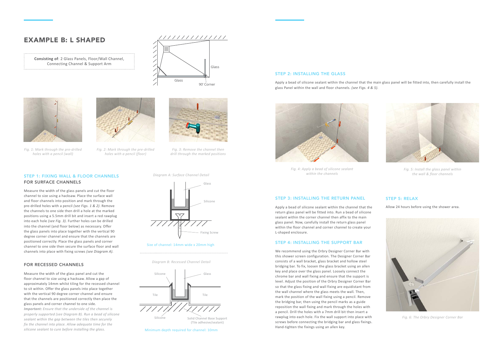## EXAMPLE B: L SHAPED



Measure the width of the glass panels and cut the floor channel to size using a hacksaw. Place the surface wall and floor channels into position and mark through the pre-drilled holes with a pencil *(see Figs. 1 & 2)*. Remove the channels to one side then drill a hole at the marked positions using a 5.5mm drill bit and insert a red rawplug into each hole *(see Fig. 3)*. Further holes can be drilled into the channel (and floor below) as necessary. Offer the glass panels into place together with the vertical 90 degree corner channel and ensure that the channels are positioned correctly. Place the glass panels and corner channel to one side then secure the surface floor and wall channels into place with fixing screws *(see Diagram A).*

#### FOR RECESSED CHANNELS

Measure the width of the glass panel and cut the floor channel to size using a hacksaw. Allow a gap of approximately 14mm whilst tiling for the recessed channel to sit within. Offer the glass panels into place together with the vertical 90 degree corner channel and ensure that the channels are positioned correctly then place the glass panels and corner channel to one side. *Important: Ensure that the underside of the channel is properly supported (see Diagram B). Run a bead of silicone sealant within the gap between the tiles then securely fix the channel into place. Allow adequate time for the silicone sealant to cure before installing the glass.*





*Fig. 1: Mark through the pre-drilled holes with a pencil (wall)*



*Fig. 2: Mark through the pre-drilled holes with a pencil (floor)*



*Fig. 3: Remove the channel then drill through the marked positions*

**Consisting of**: 2 Glass Panels, Floor/Wall Channel, Connecting Channel & Support Arm 



*Fig. 6: The Orbry Designer Corner Bar*



*Fig. 4: Apply a bead of silicone sealant within the channels*



*Fig. 5: Install the glass panel within the wall & floor channels*

#### STEP 2: INSTALLING THE GLASS

Apply a bead of silicone sealant within the channel that the main glass panel will be fitted into, then carefully install the glass Panel within the wall and floor channels. *(see Figs. 4 & 5).*

#### STEP 3: INSTALLING THE RETURN PANEL

Apply a bead of silicone sealant within the channel that the return glass panel will be fitted into. Run a bead of silicone sealant within the corner channel then affix to the main glass panel. Now, carefully install the return glass panel within the floor channel and corner channel to create your L-shaped enclosure.

#### STEP 4: INSTALLING THE SUPPORT BAR

We recommend using the Orbry Designer Corner Bar with this shower screen configuration. The Designer Corner Bar consists of a wall bracket, glass bracket and hollow steel bridging bar. To fix, loosen the glass bracket using an allen key and place over the glass panel. Loosely connect the chrome bar and wall fixing and ensure that the support is level. Adjust the position of the Orbry Designer Corner Bar so that the glass fixing and wall fixing are equidistant from the wall channel where the glass meets the wall*.* Then, mark the position of the wall fixing using a pencil. Remove the bridging bar, then using the pencil marks as a guide reposition the wall fixing and mark through the holes with a pencil. Drill the holes with a 7mm drill bit then insert a rawplug into each hole. Fix the wall support into place with screws before connecting the bridging bar and glass fixings. Hand-tighten the fixings using an allen key.

#### STEP 5: RELAX

Allow 24 hours before using the shower area.

*Diagram B: Recessed Channel Detail*



Minimum depth required for channel: 10mm

*Diagram A: Surface Channel Detail*



#### Size of channel: 14mm wide x 20mm high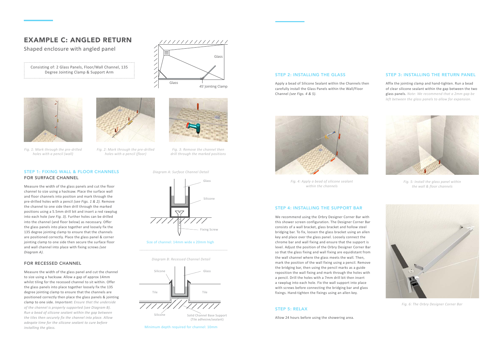#### STEP 1: FIXING WALL & FLOOR CHANNELS FOR SURFACE CHANNEL

Measure the width of the glass panels and cut the floor channel to size using a hacksaw. Place the surface wall and floor channels into position and mark through the pre-drilled holes with a pencil *(see Figs. 1 & 2).* Remove the channel to one side then drill through the marked positions using a 5.5mm drill bit and insert a red rawplug into each hole *(see Fig. 3).* Further holes can be drilled into the channel (and floor below) as necessary. Offer the glass panels into place together and loosely fix the 135 degree jointing clamp to ensure that the channels are positioned correctly. Place the glass panel & corner jointing clamp to one side then secure the surface floor and wall channel into place with fixing screws *(see Diagram A).*

#### FOR RECESSED CHANNEL

Measure the width of the glass panel and cut the channel to size using a hacksaw. Allow a gap of approx 14mm whilst tiling for the recessed channel to sit within. Offer the glass panels into place together loosely fix the 135 degree jointing clamp to ensure that the channels are positioned correctly then place the glass panels & jointing clamp to one side. *Important: Ensure that the underside of the channel is properly supported (see Diagram B). Run a bead of silicone sealant within the gap between the tiles then securely fix the channel into place. Allow adeqate time for the silicone sealant to cure before installing the glass.*

#### STEP 2: INSTALLING THE GLASS

Apply a bead of Silicone Sealant within the Channels then carefully install the Glass Panels within the Wall/Floor Channel *(see Figs. 4 & 5).*

## EXAMPLE C: ANGLED RETURN

Shaped enclosure with angled panel

Consisting of: 2 Glass Panels, Floor/Wall Channel, 135 Degree Jointing Clamp & Support Arm





*Fig. 6: The Orbry Designer Corner Bar*



*Fig. 1: Mark through the pre-drilled holes with a pencil (wall)*



*Fig. 2: Mark through the pre-drilled holes with a pencil (floor)*



*Fig. 3: Remove the channel then drill through the marked positions*



*Fig. 4: Apply a bead of silicone sealant within the channels*



*Fig. 5: Install the glass panel within the wall & floor channels*

#### STEP 3: INSTALLING THE RETURN PANEL

Affix the jointing clamp and hand-tighten. Run a bead of clear silicone sealant within the gap between the two glass panels. *Note: We recommend that a 2mm gap be left between the glass panels to allow for expansion.*

#### STEP 4: INSTALLING THE SUPPORT BAR

We recommend using the Orbry Designer Corner Bar with this shower screen configuration. The Designer Corner Bar consists of a wall bracket, glass bracket and hollow steel bridging bar. To fix, loosen the glass bracket using an allen key and place over the glass panel. Loosely connect the chrome bar and wall fixing and ensure that the support is level. Adjust the position of the Orbry Designer Corner Bar so that the glass fixing and wall fixing are equidistant from the wall channel where the glass meets the wall*.* Then, mark the position of the wall fixing using a pencil. Remove the bridging bar, then using the pencil marks as a guide reposition the wall fixing and mark through the holes with a pencil. Drill the holes with a 7mm drill bit then insert a rawplug into each hole. Fix the wall support into place with screws before connecting the bridging bar and glass fixings. Hand-tighten the fixings using an allen key.

#### STEP 5: RELAX

Allow 24 hours before using the showering area.

*Diagram B: Recessed Channel Detail*



Minimum depth required for channel: 10mm

*Diagram A: Surface Channel Detail*



#### Size of channel: 14mm wide x 20mm high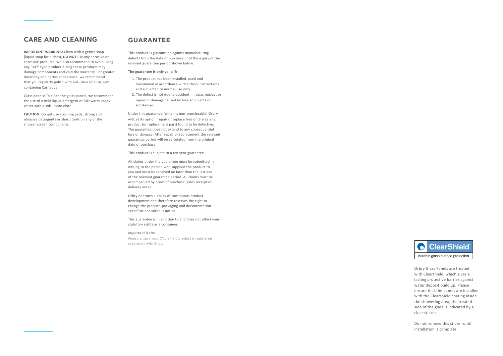## CARE AND CLEANING

**IMPORTANT WARNING:** Clean with a gentle soap (liquid soap for dishes), **DO NOT** use any abrasive or corrosive products. We also recommend to avoid using any 'OXY' type product. Using these products may damage components and void the warranty. For greater durability and better appearance, we recommend that you regularly polish with Gel-Gloss or a car wax containing Carnauba.

Glass panels: To clean the glass panels, we recommend the use of a mild liquid detergent or lukewarm soapy water with a soft, clean cloth.

**CAUTION**: Do not use scouring pads, strong and abrasive detergents or sharp tools on any of the shower screen components.

### GUARANTEE

This product is guaranteed against manufacturing defects from the date of purchase until the expiry of the relevant guarantee period shown below.

#### **The guarantee is only valid if:-**

- 1. The product has been installed, used and maintained in accordance with Orbry's instructions and subjected to normal use only.
- 2. The defect is not due to accident, misuse, neglect or repair or damage caused by foreign objects or substances.

Under this guarantee (which is non-transferable) Orbry will, at its option, repair or replace free of charge any product (or replacement part) found to be defective. The guarantee does not extend to any consequential loss or damage. After repair or replacement the relevant guarantee period will be calculated from the original date of purchase.

This product is subject to a ten year guarantee.

All claims under the guarantee must be submitted in writing to the person who supplied the product to you and must be received no later than the last day of the relevant guarantee period. All claims must be accompanied by proof of purchase (sales receipt or delivery note).

Orbry operates a policy of continuous product development and therefore reserves the right to change the product, packaging and documentation specifications without notice.

This guarantee is in addition to and does not affect your statutory rights as a consumer.

*Important Note: Please ensure your Clearshield product is registered separately with Ritec.*



Orbry Glass Panels are treated with Clearshield, which gives a lasting protective barrier against water deposit build up. Please ensure that the panels are installed with the Clearshield coating inside the showering area; the treated side of the glass is indicated by a clear sticker.

Do not remove this sticker until installation is complete.